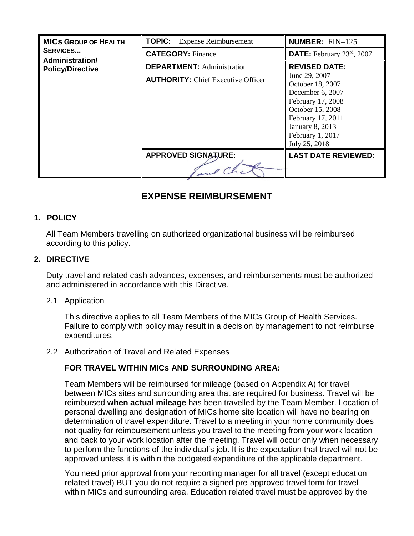| <b>MICS GROUP OF HEALTH</b><br><b>SERVICES</b><br>Administration/<br><b>Policy/Directive</b> | <b>TOPIC:</b> Expense Reimbursement       | <b>NUMBER: FIN-125</b>                                                                                                                                                                                                                   |  |
|----------------------------------------------------------------------------------------------|-------------------------------------------|------------------------------------------------------------------------------------------------------------------------------------------------------------------------------------------------------------------------------------------|--|
|                                                                                              | <b>CATEGORY: Finance</b>                  | <b>DATE:</b> February $23^{\text{rd}}$ , $2007$                                                                                                                                                                                          |  |
|                                                                                              | <b>DEPARTMENT: Administration</b>         | <b>REVISED DATE:</b><br>June 29, 2007<br>October 18, 2007<br>December 6, 2007<br>February 17, 2008<br>October 15, 2008<br>February 17, 2011<br><b>January 8, 2013</b><br>February 1, 2017<br>July 25, 2018<br><b>LAST DATE REVIEWED:</b> |  |
|                                                                                              | <b>AUTHORITY:</b> Chief Executive Officer |                                                                                                                                                                                                                                          |  |
|                                                                                              | <b>APPROVED SIGNATURE:</b>                |                                                                                                                                                                                                                                          |  |
|                                                                                              |                                           |                                                                                                                                                                                                                                          |  |

# **EXPENSE REIMBURSEMENT**

### **1. POLICY**

All Team Members travelling on authorized organizational business will be reimbursed according to this policy.

### **2. DIRECTIVE**

Duty travel and related cash advances, expenses, and reimbursements must be authorized and administered in accordance with this Directive.

### 2.1 Application

This directive applies to all Team Members of the MICs Group of Health Services. Failure to comply with policy may result in a decision by management to not reimburse expenditures.

### 2.2 Authorization of Travel and Related Expenses

### **FOR TRAVEL WITHIN MICs AND SURROUNDING AREA:**

Team Members will be reimbursed for mileage (based on Appendix A) for travel between MICs sites and surrounding area that are required for business. Travel will be reimbursed **when actual mileage** has been travelled by the Team Member. Location of personal dwelling and designation of MICs home site location will have no bearing on determination of travel expenditure. Travel to a meeting in your home community does not quality for reimbursement unless you travel to the meeting from your work location and back to your work location after the meeting. Travel will occur only when necessary to perform the functions of the individual's job. It is the expectation that travel will not be approved unless it is within the budgeted expenditure of the applicable department.

You need prior approval from your reporting manager for all travel (except education related travel) BUT you do not require a signed pre-approved travel form for travel within MICs and surrounding area. Education related travel must be approved by the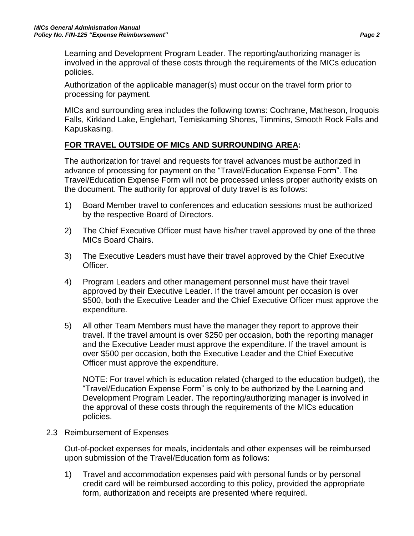Learning and Development Program Leader. The reporting/authorizing manager is involved in the approval of these costs through the requirements of the MICs education policies.

Authorization of the applicable manager(s) must occur on the travel form prior to processing for payment.

MICs and surrounding area includes the following towns: Cochrane, Matheson, Iroquois Falls, Kirkland Lake, Englehart, Temiskaming Shores, Timmins, Smooth Rock Falls and Kapuskasing.

### **FOR TRAVEL OUTSIDE OF MICs AND SURROUNDING AREA:**

The authorization for travel and requests for travel advances must be authorized in advance of processing for payment on the "Travel/Education Expense Form". The Travel/Education Expense Form will not be processed unless proper authority exists on the document. The authority for approval of duty travel is as follows:

- 1) Board Member travel to conferences and education sessions must be authorized by the respective Board of Directors.
- 2) The Chief Executive Officer must have his/her travel approved by one of the three MICs Board Chairs.
- 3) The Executive Leaders must have their travel approved by the Chief Executive Officer.
- 4) Program Leaders and other management personnel must have their travel approved by their Executive Leader. If the travel amount per occasion is over \$500, both the Executive Leader and the Chief Executive Officer must approve the expenditure.
- 5) All other Team Members must have the manager they report to approve their travel. If the travel amount is over \$250 per occasion, both the reporting manager and the Executive Leader must approve the expenditure. If the travel amount is over \$500 per occasion, both the Executive Leader and the Chief Executive Officer must approve the expenditure.

NOTE: For travel which is education related (charged to the education budget), the "Travel/Education Expense Form" is only to be authorized by the Learning and Development Program Leader. The reporting/authorizing manager is involved in the approval of these costs through the requirements of the MICs education policies.

2.3 Reimbursement of Expenses

Out-of-pocket expenses for meals, incidentals and other expenses will be reimbursed upon submission of the Travel/Education form as follows:

1) Travel and accommodation expenses paid with personal funds or by personal credit card will be reimbursed according to this policy, provided the appropriate form, authorization and receipts are presented where required.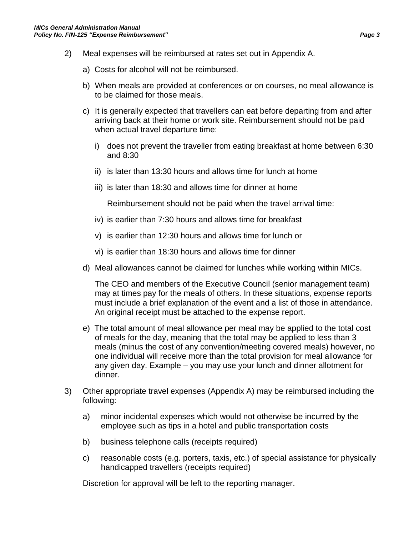- 2) Meal expenses will be reimbursed at rates set out in Appendix A.
	- a) Costs for alcohol will not be reimbursed.
	- b) When meals are provided at conferences or on courses, no meal allowance is to be claimed for those meals.
	- c) It is generally expected that travellers can eat before departing from and after arriving back at their home or work site. Reimbursement should not be paid when actual travel departure time:
		- i) does not prevent the traveller from eating breakfast at home between 6:30 and 8:30
		- ii) is later than 13:30 hours and allows time for lunch at home
		- iii) is later than 18:30 and allows time for dinner at home

Reimbursement should not be paid when the travel arrival time:

- iv) is earlier than 7:30 hours and allows time for breakfast
- v) is earlier than 12:30 hours and allows time for lunch or
- vi) is earlier than 18:30 hours and allows time for dinner
- d) Meal allowances cannot be claimed for lunches while working within MICs.

The CEO and members of the Executive Council (senior management team) may at times pay for the meals of others. In these situations, expense reports must include a brief explanation of the event and a list of those in attendance. An original receipt must be attached to the expense report.

- e) The total amount of meal allowance per meal may be applied to the total cost of meals for the day, meaning that the total may be applied to less than 3 meals (minus the cost of any convention/meeting covered meals) however, no one individual will receive more than the total provision for meal allowance for any given day. Example – you may use your lunch and dinner allotment for dinner.
- 3) Other appropriate travel expenses (Appendix A) may be reimbursed including the following:
	- a) minor incidental expenses which would not otherwise be incurred by the employee such as tips in a hotel and public transportation costs
	- b) business telephone calls (receipts required)
	- c) reasonable costs (e.g. porters, taxis, etc.) of special assistance for physically handicapped travellers (receipts required)

Discretion for approval will be left to the reporting manager.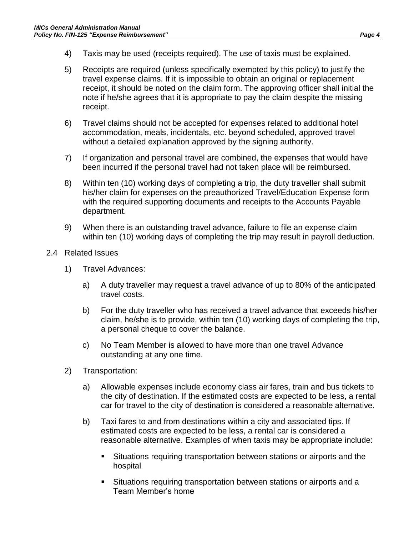- 4) Taxis may be used (receipts required). The use of taxis must be explained.
- 5) Receipts are required (unless specifically exempted by this policy) to justify the travel expense claims. If it is impossible to obtain an original or replacement receipt, it should be noted on the claim form. The approving officer shall initial the note if he/she agrees that it is appropriate to pay the claim despite the missing receipt.
- 6) Travel claims should not be accepted for expenses related to additional hotel accommodation, meals, incidentals, etc. beyond scheduled, approved travel without a detailed explanation approved by the signing authority.
- 7) If organization and personal travel are combined, the expenses that would have been incurred if the personal travel had not taken place will be reimbursed.
- 8) Within ten (10) working days of completing a trip, the duty traveller shall submit his/her claim for expenses on the preauthorized Travel/Education Expense form with the required supporting documents and receipts to the Accounts Payable department.
- 9) When there is an outstanding travel advance, failure to file an expense claim within ten (10) working days of completing the trip may result in payroll deduction.
- 2.4 Related Issues
	- 1) Travel Advances:
		- a) A duty traveller may request a travel advance of up to 80% of the anticipated travel costs.
		- b) For the duty traveller who has received a travel advance that exceeds his/her claim, he/she is to provide, within ten (10) working days of completing the trip, a personal cheque to cover the balance.
		- c) No Team Member is allowed to have more than one travel Advance outstanding at any one time.
	- 2) Transportation:
		- a) Allowable expenses include economy class air fares, train and bus tickets to the city of destination. If the estimated costs are expected to be less, a rental car for travel to the city of destination is considered a reasonable alternative.
		- b) Taxi fares to and from destinations within a city and associated tips. If estimated costs are expected to be less, a rental car is considered a reasonable alternative. Examples of when taxis may be appropriate include:
			- Situations requiring transportation between stations or airports and the hospital
			- Situations requiring transportation between stations or airports and a Team Member's home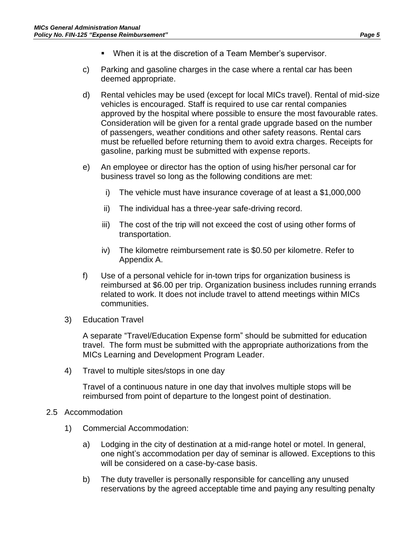- When it is at the discretion of a Team Member's supervisor.
- c) Parking and gasoline charges in the case where a rental car has been deemed appropriate.
- d) Rental vehicles may be used (except for local MICs travel). Rental of mid-size vehicles is encouraged. Staff is required to use car rental companies approved by the hospital where possible to ensure the most favourable rates. Consideration will be given for a rental grade upgrade based on the number of passengers, weather conditions and other safety reasons. Rental cars must be refuelled before returning them to avoid extra charges. Receipts for gasoline, parking must be submitted with expense reports.
- e) An employee or director has the option of using his/her personal car for business travel so long as the following conditions are met:
	- i) The vehicle must have insurance coverage of at least a \$1,000,000
	- ii) The individual has a three-year safe-driving record.
	- iii) The cost of the trip will not exceed the cost of using other forms of transportation.
	- iv) The kilometre reimbursement rate is \$0.50 per kilometre. Refer to Appendix A.
- f) Use of a personal vehicle for in-town trips for organization business is reimbursed at \$6.00 per trip. Organization business includes running errands related to work. It does not include travel to attend meetings within MICs communities.
- 3) Education Travel

A separate "Travel/Education Expense form" should be submitted for education travel. The form must be submitted with the appropriate authorizations from the MICs Learning and Development Program Leader.

4) Travel to multiple sites/stops in one day

Travel of a continuous nature in one day that involves multiple stops will be reimbursed from point of departure to the longest point of destination.

### 2.5 Accommodation

- 1) Commercial Accommodation:
	- a) Lodging in the city of destination at a mid-range hotel or motel. In general, one night's accommodation per day of seminar is allowed. Exceptions to this will be considered on a case-by-case basis.
	- b) The duty traveller is personally responsible for cancelling any unused reservations by the agreed acceptable time and paying any resulting penalty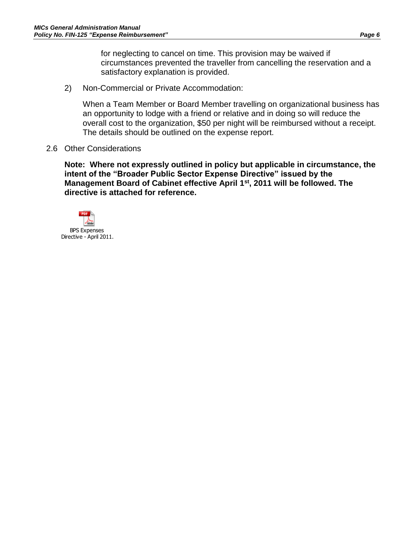for neglecting to cancel on time. This provision may be waived if circumstances prevented the traveller from cancelling the reservation and a satisfactory explanation is provided.

2) Non-Commercial or Private Accommodation:

When a Team Member or Board Member travelling on organizational business has an opportunity to lodge with a friend or relative and in doing so will reduce the overall cost to the organization, \$50 per night will be reimbursed without a receipt. The details should be outlined on the expense report.

2.6 Other Considerations

**Note: Where not expressly outlined in policy but applicable in circumstance, the intent of the "Broader Public Sector Expense Directive" issued by the Management Board of Cabinet effective April 1st , 2011 will be followed. The directive is attached for reference.**